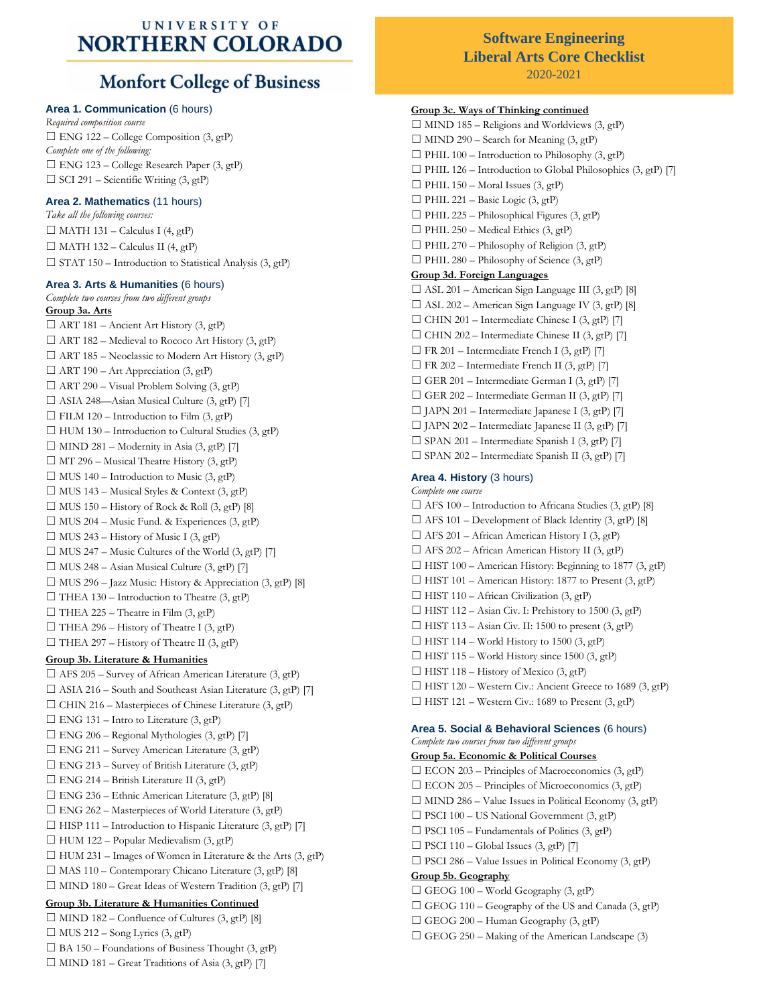## UNIVERSITY OF **NORTHERN COLORADO**

# **Monfort College of Business**

## **Area 1. Communication** (6 hours)

*Required composition course*  $\Box$  ENG 122 – College Composition (3, gtP) *Complete one of the following:*  $\Box$  ENG 123 – College Research Paper (3, gtP) ☐ SCI 291 – Scientific Writing (3, gtP)

## **Area 2. Mathematics** (11 hours)

*Take all the following courses:*  $\Box$  MATH 131 – Calculus I (4, gtP)  $\Box$  MATH 132 – Calculus II (4, gtP)  $\Box$  STAT 150 – Introduction to Statistical Analysis (3, gtP)

## **Area 3. Arts & Humanities** (6 hours)

*Complete two courses from two different groups* **Group 3a. Arts**  $\Box$  ART 181 – Ancient Art History (3, gtP)  $\Box$  ART 182 – Medieval to Rococo Art History (3, gtP) ☐ ART 185 – Neoclassic to Modern Art History (3, gtP)  $\Box$  ART 190 – Art Appreciation (3, gtP)  $\Box$  ART 290 – Visual Problem Solving (3, gtP)  $\Box$  ASIA 248—Asian Musical Culture (3, gtP) [7]  $\Box$  FILM 120 – Introduction to Film  $(3,gt)$  $\Box$  HUM 130 – Introduction to Cultural Studies (3, gtP)  $\Box$  MIND 281 – Modernity in Asia (3, gtP) [7]  $\Box$  MT 296 – Musical Theatre History (3, gtP)  $\Box$  MUS 140 – Introduction to Music (3, gtP)  $\Box$  MUS 143 – Musical Styles & Context (3, gtP)  $\Box$  MUS 150 – History of Rock & Roll (3, gtP) [8]  $\Box$  MUS 204 – Music Fund. & Experiences (3, gtP)  $\Box$  MUS 243 – History of Music I (3, gtP)  $\Box$  MUS 247 – Music Cultures of the World (3, gtP) [7]  $\Box$  MUS 248 – Asian Musical Culture (3, gtP) [7]  $\Box$  MUS 296 – Jazz Music: History & Appreciation (3, gtP) [8]  $\Box$  THEA 130 – Introduction to Theatre (3, gtP)  $\Box$  THEA 225 – Theatre in Film (3, gtP)  $\Box$  THEA 296 – History of Theatre I (3, gtP)  $\Box$  THEA 297 – History of Theatre II (3, gtP) **Group 3b. Literature & Humanities**

 $\Box$  AFS 205 – Survey of African American Literature (3, gtP)  $\Box$  ASIA 216 – South and Southeast Asian Literature (3, gtP) [7]  $\Box$  CHIN 216 – Masterpieces of Chinese Literature (3, gtP)  $\Box$  ENG 131 – Intro to Literature (3, gtP)  $\Box$  ENG 206 – Regional Mythologies (3, gtP) [7]  $\Box$  ENG 211 – Survey American Literature (3, gtP)  $\Box$  ENG 213 – Survey of British Literature (3, gtP)  $\Box$  ENG 214 – British Literature II (3, gtP)  $\Box$  ENG 236 – Ethnic American Literature (3, gtP) [8]  $\Box$  ENG 262 – Masterpieces of World Literature (3, gtP) □ HISP 111 – Introduction to Hispanic Literature (3, gtP) [7]  $\Box$  HUM 122 – Popular Medievalism (3, gtP)  $\Box$  HUM 231 – Images of Women in Literature & the Arts (3, gtP)  $\Box$  MAS 110 – Contemporary Chicano Literature (3, gtP) [8]  $\Box$  MIND 180 – Great Ideas of Western Tradition (3, gtP) [7] **Group 3b. Literature & Humanities Continued**  $\Box$  MIND 182 – Confluence of Cultures (3, gtP) [8]  $\Box$  MUS 212 – Song Lyrics (3, gtP)  $\Box$  BA 150 – Foundations of Business Thought (3, gtP)

 $\Box$  MIND 181 – Great Traditions of Asia (3, gtP) [7]

# **Software Engineering Liberal Arts Core Checklist**

2020-2021

# **Group 3c. Ways of Thinking continued**  $\Box$  MIND 185 – Religions and Worldviews (3, gtP)

 $\Box$  MIND 290 – Search for Meaning (3, gtP)  $\Box$  PHIL 100 – Introduction to Philosophy (3, gtP)  $\Box$  PHIL 126 – Introduction to Global Philosophies (3, gtP) [7]  $\Box$  PHIL 150 – Moral Issues (3, gtP)  $\Box$  PHIL 221 – Basic Logic (3, gtP)  $\Box$  PHIL 225 – Philosophical Figures (3, gtP)  $\Box$  PHIL 250 – Medical Ethics (3, gtP)  $\Box$  PHIL 270 – Philosophy of Religion (3, gtP)  $\Box$  PHIL 280 – Philosophy of Science (3, gtP) **Group 3d. Foreign Languages**  $\Box$  ASL 201 – American Sign Language III (3, gtP) [8]  $\Box$  ASL 202 – American Sign Language IV (3, gtP) [8]  $\Box$  CHIN 201 – Intermediate Chinese I (3, gtP) [7]  $\Box$  CHIN 202 – Intermediate Chinese II (3, gtP) [7]  $\Box$  FR 201 – Intermediate French I (3, gtP) [7]  $\Box$  FR 202 – Intermediate French II (3, gtP) [7]  $\Box$  GER 201 – Intermediate German I (3, gtP) [7]  $\Box$  GER 202 – Intermediate German II (3, gtP) [7]  $\Box$  JAPN 201 – Intermediate Japanese I (3, gtP) [7]  $\Box$  JAPN 202 – Intermediate Japanese II (3, gtP) [7]  $\square$  SPAN 201 – Intermediate Spanish I (3, gtP) [7]  $\Box$  SPAN 202 – Intermediate Spanish II (3, gtP) [7] **Area 4. History** (3 hours) *Complete one course*  $\Box$  AFS 100 – Introduction to Africana Studies (3, gtP) [8]  $\Box$  AFS 101 – Development of Black Identity (3, gtP) [8]  $\Box$  AFS 201 – African American History I (3, gtP)  $\Box$  AFS 202 – African American History II (3, gtP)  $\Box$  HIST 100 – American History: Beginning to 1877 (3, gtP)  $\Box$  HIST 101 – American History: 1877 to Present (3, gtP)  $\Box$  HIST 110 – African Civilization (3, gtP)  $\Box$  HIST 112 – Asian Civ. I: Prehistory to 1500 (3, gtP)  $\Box$  HIST 113 – Asian Civ. II: 1500 to present (3, gtP)  $\Box$  HIST 114 – World History to 1500 (3, gtP)  $\Box$  HIST 115 – World History since 1500 (3, gtP)  $\Box$  HIST 118 – History of Mexico (3, gtP)  $\Box$  HIST 120 – Western Civ.: Ancient Greece to 1689 (3, gtP)  $\Box$  HIST 121 – Western Civ.: 1689 to Present (3, gtP)

## **Area 5. Social & Behavioral Sciences** (6 hours)

*Complete two courses from two different groups* **Group 5a. Economic & Political Courses**  $\square$  ECON 203 – Principles of Macroeconomics (3, gtP)  $\Box$  ECON 205 – Principles of Microeconomics (3, gtP)  $\Box$  MIND 286 – Value Issues in Political Economy (3, gtP)  $\Box$  PSCI 100 – US National Government (3, gtP)  $\Box$  PSCI 105 – Fundamentals of Politics (3, gtP)  $\Box$  PSCI 110 – Global Issues (3, gtP) [7]  $\Box$  PSCI 286 – Value Issues in Political Economy (3, gtP) **Group 5b. Geography**  $\Box$  GEOG 100 – World Geography (3, gtP)  $\Box$  GEOG 110 – Geography of the US and Canada (3, gtP)  $\Box$  GEOG 200 – Human Geography (3, gtP)

☐ GEOG 250 – Making of the American Landscape (3)